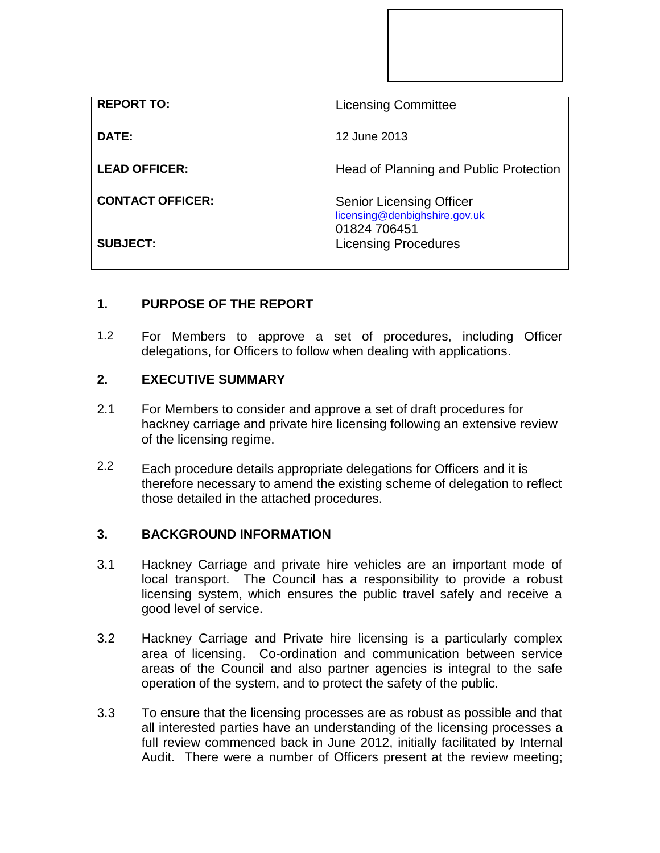| <b>REPORT TO:</b>       | <b>Licensing Committee</b>                                                       |
|-------------------------|----------------------------------------------------------------------------------|
| DATE:                   | 12 June 2013                                                                     |
| <b>LEAD OFFICER:</b>    | Head of Planning and Public Protection                                           |
| <b>CONTACT OFFICER:</b> | <b>Senior Licensing Officer</b><br>licensing@denbighshire.gov.uk<br>01824 706451 |
| <b>SUBJECT:</b>         | <b>Licensing Procedures</b>                                                      |

## **1. PURPOSE OF THE REPORT**

1.2 For Members to approve a set of procedures, including Officer delegations, for Officers to follow when dealing with applications.

## **2. EXECUTIVE SUMMARY**

- 2.1 For Members to consider and approve a set of draft procedures for hackney carriage and private hire licensing following an extensive review of the licensing regime.
- 2.2 Each procedure details appropriate delegations for Officers and it is therefore necessary to amend the existing scheme of delegation to reflect those detailed in the attached procedures.

## **3. BACKGROUND INFORMATION**

- 3.1 Hackney Carriage and private hire vehicles are an important mode of local transport. The Council has a responsibility to provide a robust licensing system, which ensures the public travel safely and receive a good level of service.
- 3.2 Hackney Carriage and Private hire licensing is a particularly complex area of licensing. Co-ordination and communication between service areas of the Council and also partner agencies is integral to the safe operation of the system, and to protect the safety of the public.
- 3.3 To ensure that the licensing processes are as robust as possible and that all interested parties have an understanding of the licensing processes a full review commenced back in June 2012, initially facilitated by Internal Audit. There were a number of Officers present at the review meeting;